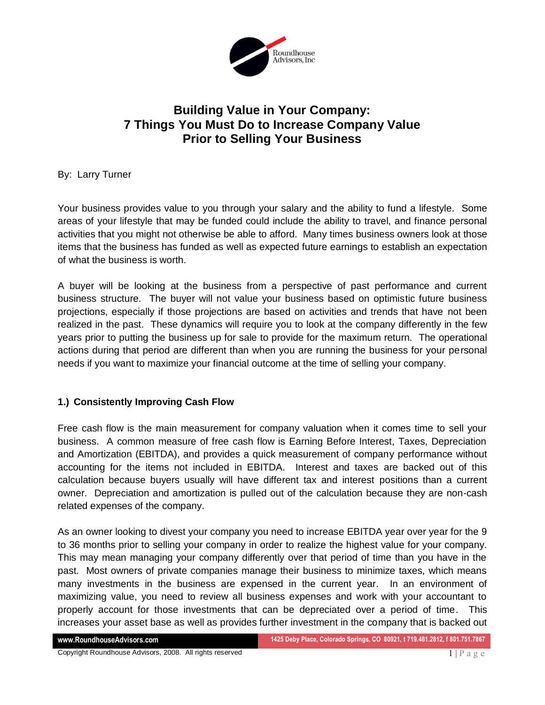

# **Building Value in Your Company: 7 Things You Must Do to Increase Company Value Prior to Selling Your Business**

By: Larry Turner

Your business provides value to you through your salary and the ability to fund a lifestyle. Some areas of your lifestyle that may be funded could include the ability to travel, and finance personal activities that you might not otherwise be able to afford. Many times business owners look at those items that the business has funded as well as expected future earnings to establish an expectation of what the business is worth.

A buyer will be looking at the business from a perspective of past performance and current business structure. The buyer will not value your business based on optimistic future business projections, especially if those projections are based on activities and trends that have not been realized in the past. These dynamics will require you to look at the company differently in the few years prior to putting the business up for sale to provide for the maximum return. The operational actions during that period are different than when you are running the business for your personal needs if you want to maximize your financial outcome at the time of selling your company.

## **1.) Consistently Improving Cash Flow**

Free cash flow is the main measurement for company valuation when it comes time to sell your business. A common measure of free cash flow is Earning Before Interest, Taxes, Depreciation and Amortization (EBITDA), and provides a quick measurement of company performance without accounting for the items not included in EBITDA. Interest and taxes are backed out of this calculation because buyers usually will have different tax and interest positions than a current owner. Depreciation and amortization is pulled out of the calculation because they are non-cash related expenses of the company.

As an owner looking to divest your company you need to increase EBITDA year over year for the 9 to 36 months prior to selling your company in order to realize the highest value for your company. This may mean managing your company differently over that period of time than you have in the past. Most owners of private companies manage their business to minimize taxes, which means many investments in the business are expensed in the current year. In an environment of maximizing value, you need to review all business expenses and work with your accountant to properly account for those investments that can be depreciated over a period of time. This increases your asset base as well as provides further investment in the company that is backed out

Copyright Roundhouse Advisors, 2008. All rights reserved  $1 | P a g e$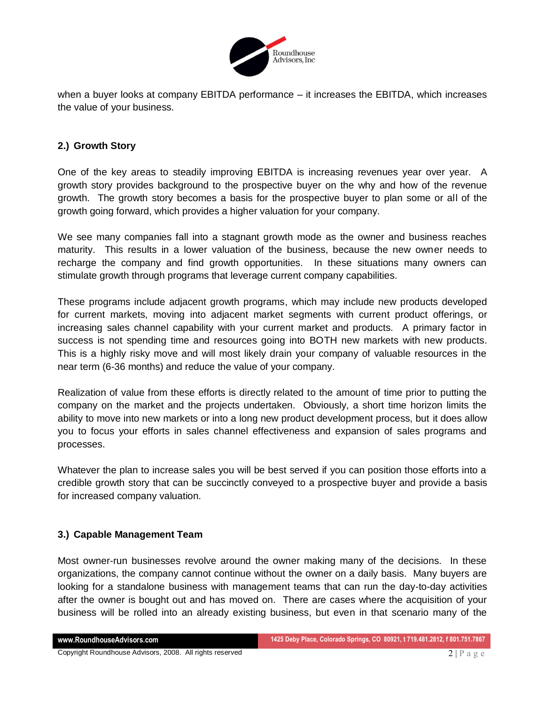

when a buyer looks at company EBITDA performance – it increases the EBITDA, which increases the value of your business.

## **2.) Growth Story**

One of the key areas to steadily improving EBITDA is increasing revenues year over year. A growth story provides background to the prospective buyer on the why and how of the revenue growth. The growth story becomes a basis for the prospective buyer to plan some or all of the growth going forward, which provides a higher valuation for your company.

We see many companies fall into a stagnant growth mode as the owner and business reaches maturity. This results in a lower valuation of the business, because the new owner needs to recharge the company and find growth opportunities. In these situations many owners can stimulate growth through programs that leverage current company capabilities.

These programs include adjacent growth programs, which may include new products developed for current markets, moving into adjacent market segments with current product offerings, or increasing sales channel capability with your current market and products. A primary factor in success is not spending time and resources going into BOTH new markets with new products. This is a highly risky move and will most likely drain your company of valuable resources in the near term (6-36 months) and reduce the value of your company.

Realization of value from these efforts is directly related to the amount of time prior to putting the company on the market and the projects undertaken. Obviously, a short time horizon limits the ability to move into new markets or into a long new product development process, but it does allow you to focus your efforts in sales channel effectiveness and expansion of sales programs and processes.

Whatever the plan to increase sales you will be best served if you can position those efforts into a credible growth story that can be succinctly conveyed to a prospective buyer and provide a basis for increased company valuation.

#### **3.) Capable Management Team**

Most owner-run businesses revolve around the owner making many of the decisions. In these organizations, the company cannot continue without the owner on a daily basis. Many buyers are looking for a standalone business with management teams that can run the day-to-day activities after the owner is bought out and has moved on. There are cases where the acquisition of your business will be rolled into an already existing business, but even in that scenario many of the

Copyright Roundhouse Advisors, 2008. All rights reserved  $2 | P a g e$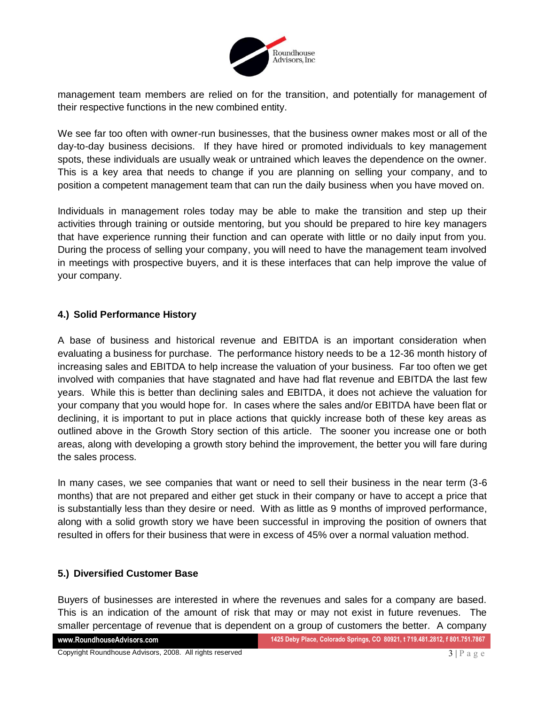

management team members are relied on for the transition, and potentially for management of their respective functions in the new combined entity.

We see far too often with owner-run businesses, that the business owner makes most or all of the day-to-day business decisions. If they have hired or promoted individuals to key management spots, these individuals are usually weak or untrained which leaves the dependence on the owner. This is a key area that needs to change if you are planning on selling your company, and to position a competent management team that can run the daily business when you have moved on.

Individuals in management roles today may be able to make the transition and step up their activities through training or outside mentoring, but you should be prepared to hire key managers that have experience running their function and can operate with little or no daily input from you. During the process of selling your company, you will need to have the management team involved in meetings with prospective buyers, and it is these interfaces that can help improve the value of your company.

## **4.) Solid Performance History**

A base of business and historical revenue and EBITDA is an important consideration when evaluating a business for purchase. The performance history needs to be a 12-36 month history of increasing sales and EBITDA to help increase the valuation of your business. Far too often we get involved with companies that have stagnated and have had flat revenue and EBITDA the last few years. While this is better than declining sales and EBITDA, it does not achieve the valuation for your company that you would hope for. In cases where the sales and/or EBITDA have been flat or declining, it is important to put in place actions that quickly increase both of these key areas as outlined above in the Growth Story section of this article. The sooner you increase one or both areas, along with developing a growth story behind the improvement, the better you will fare during the sales process.

In many cases, we see companies that want or need to sell their business in the near term (3-6 months) that are not prepared and either get stuck in their company or have to accept a price that is substantially less than they desire or need. With as little as 9 months of improved performance, along with a solid growth story we have been successful in improving the position of owners that resulted in offers for their business that were in excess of 45% over a normal valuation method.

#### **5.) Diversified Customer Base**

Buyers of businesses are interested in where the revenues and sales for a company are based. This is an indication of the amount of risk that may or may not exist in future revenues. The smaller percentage of revenue that is dependent on a group of customers the better. A company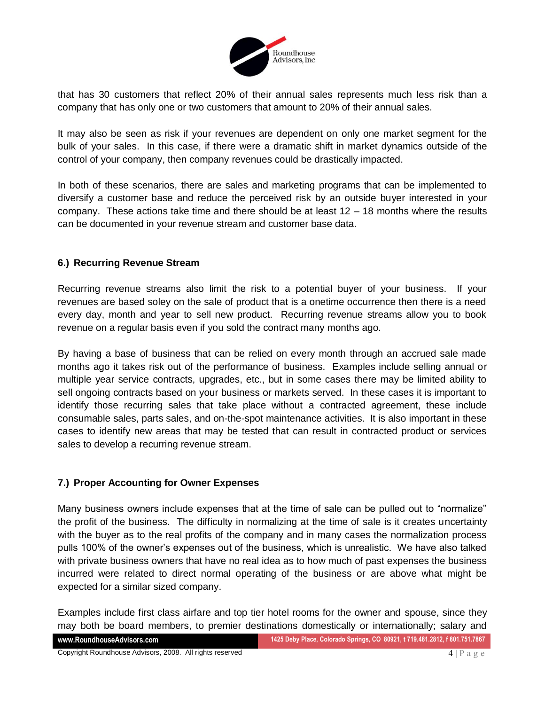

that has 30 customers that reflect 20% of their annual sales represents much less risk than a company that has only one or two customers that amount to 20% of their annual sales.

It may also be seen as risk if your revenues are dependent on only one market segment for the bulk of your sales. In this case, if there were a dramatic shift in market dynamics outside of the control of your company, then company revenues could be drastically impacted.

In both of these scenarios, there are sales and marketing programs that can be implemented to diversify a customer base and reduce the perceived risk by an outside buyer interested in your company. These actions take time and there should be at least 12 – 18 months where the results can be documented in your revenue stream and customer base data.

## **6.) Recurring Revenue Stream**

Recurring revenue streams also limit the risk to a potential buyer of your business. If your revenues are based soley on the sale of product that is a onetime occurrence then there is a need every day, month and year to sell new product. Recurring revenue streams allow you to book revenue on a regular basis even if you sold the contract many months ago.

By having a base of business that can be relied on every month through an accrued sale made months ago it takes risk out of the performance of business. Examples include selling annual or multiple year service contracts, upgrades, etc., but in some cases there may be limited ability to sell ongoing contracts based on your business or markets served. In these cases it is important to identify those recurring sales that take place without a contracted agreement, these include consumable sales, parts sales, and on-the-spot maintenance activities. It is also important in these cases to identify new areas that may be tested that can result in contracted product or services sales to develop a recurring revenue stream.

#### **7.) Proper Accounting for Owner Expenses**

Many business owners include expenses that at the time of sale can be pulled out to "normalize" the profit of the business. The difficulty in normalizing at the time of sale is it creates uncertainty with the buyer as to the real profits of the company and in many cases the normalization process pulls 100% of the owner's expenses out of the business, which is unrealistic. We have also talked with private business owners that have no real idea as to how much of past expenses the business incurred were related to direct normal operating of the business or are above what might be expected for a similar sized company.

Examples include first class airfare and top tier hotel rooms for the owner and spouse, since they may both be board members, to premier destinations domestically or internationally; salary and